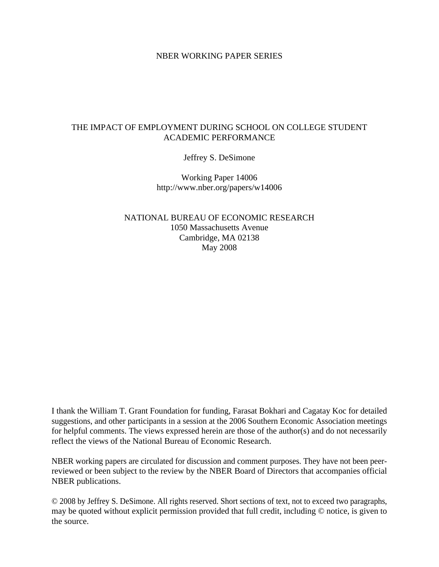#### NBER WORKING PAPER SERIES

## THE IMPACT OF EMPLOYMENT DURING SCHOOL ON COLLEGE STUDENT ACADEMIC PERFORMANCE

Jeffrey S. DeSimone

Working Paper 14006 http://www.nber.org/papers/w14006

NATIONAL BUREAU OF ECONOMIC RESEARCH 1050 Massachusetts Avenue Cambridge, MA 02138 May 2008

I thank the William T. Grant Foundation for funding, Farasat Bokhari and Cagatay Koc for detailed suggestions, and other participants in a session at the 2006 Southern Economic Association meetings for helpful comments. The views expressed herein are those of the author(s) and do not necessarily reflect the views of the National Bureau of Economic Research.

NBER working papers are circulated for discussion and comment purposes. They have not been peerreviewed or been subject to the review by the NBER Board of Directors that accompanies official NBER publications.

© 2008 by Jeffrey S. DeSimone. All rights reserved. Short sections of text, not to exceed two paragraphs, may be quoted without explicit permission provided that full credit, including © notice, is given to the source.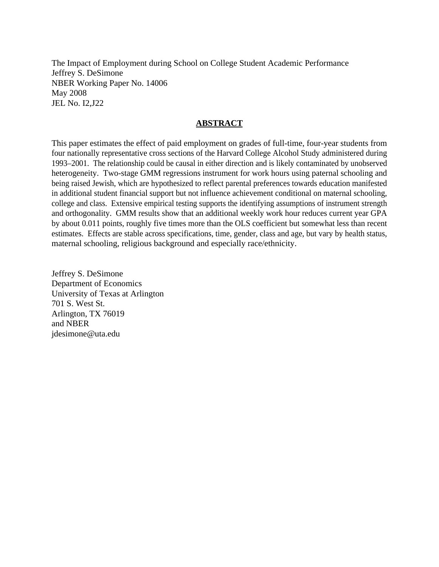The Impact of Employment during School on College Student Academic Performance Jeffrey S. DeSimone NBER Working Paper No. 14006 May 2008 JEL No. I2,J22

## **ABSTRACT**

This paper estimates the effect of paid employment on grades of full-time, four-year students from four nationally representative cross sections of the Harvard College Alcohol Study administered during 1993–2001. The relationship could be causal in either direction and is likely contaminated by unobserved heterogeneity. Two-stage GMM regressions instrument for work hours using paternal schooling and being raised Jewish, which are hypothesized to reflect parental preferences towards education manifested in additional student financial support but not influence achievement conditional on maternal schooling, college and class. Extensive empirical testing supports the identifying assumptions of instrument strength and orthogonality. GMM results show that an additional weekly work hour reduces current year GPA by about 0.011 points, roughly five times more than the OLS coefficient but somewhat less than recent estimates. Effects are stable across specifications, time, gender, class and age, but vary by health status, maternal schooling, religious background and especially race/ethnicity.

Jeffrey S. DeSimone Department of Economics University of Texas at Arlington 701 S. West St. Arlington, TX 76019 and NBER jdesimone@uta.edu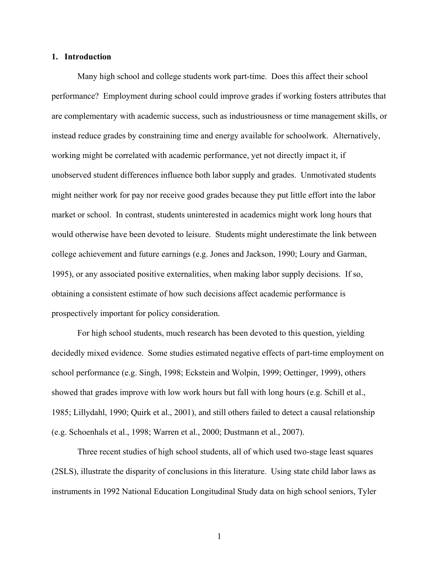#### **1. Introduction**

Many high school and college students work part-time. Does this affect their school performance? Employment during school could improve grades if working fosters attributes that are complementary with academic success, such as industriousness or time management skills, or instead reduce grades by constraining time and energy available for schoolwork. Alternatively, working might be correlated with academic performance, yet not directly impact it, if unobserved student differences influence both labor supply and grades. Unmotivated students might neither work for pay nor receive good grades because they put little effort into the labor market or school. In contrast, students uninterested in academics might work long hours that would otherwise have been devoted to leisure. Students might underestimate the link between college achievement and future earnings (e.g. Jones and Jackson, 1990; Loury and Garman, 1995), or any associated positive externalities, when making labor supply decisions. If so, obtaining a consistent estimate of how such decisions affect academic performance is prospectively important for policy consideration.

For high school students, much research has been devoted to this question, yielding decidedly mixed evidence. Some studies estimated negative effects of part-time employment on school performance (e.g. Singh, 1998; Eckstein and Wolpin, 1999; Oettinger, 1999), others showed that grades improve with low work hours but fall with long hours (e.g. Schill et al., 1985; Lillydahl, 1990; Quirk et al., 2001), and still others failed to detect a causal relationship (e.g. Schoenhals et al., 1998; Warren et al., 2000; Dustmann et al., 2007).

Three recent studies of high school students, all of which used two-stage least squares (2SLS), illustrate the disparity of conclusions in this literature. Using state child labor laws as instruments in 1992 National Education Longitudinal Study data on high school seniors, Tyler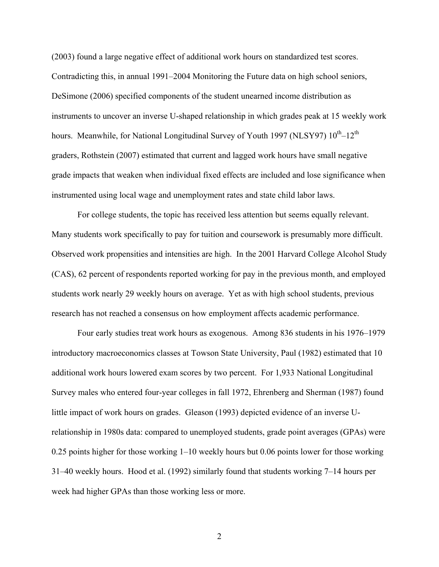(2003) found a large negative effect of additional work hours on standardized test scores. Contradicting this, in annual 1991–2004 Monitoring the Future data on high school seniors, DeSimone (2006) specified components of the student unearned income distribution as instruments to uncover an inverse U-shaped relationship in which grades peak at 15 weekly work hours. Meanwhile, for National Longitudinal Survey of Youth 1997 (NLSY97)  $10^{th}$ – $12^{th}$ graders, Rothstein (2007) estimated that current and lagged work hours have small negative grade impacts that weaken when individual fixed effects are included and lose significance when instrumented using local wage and unemployment rates and state child labor laws.

For college students, the topic has received less attention but seems equally relevant. Many students work specifically to pay for tuition and coursework is presumably more difficult. Observed work propensities and intensities are high. In the 2001 Harvard College Alcohol Study (CAS), 62 percent of respondents reported working for pay in the previous month, and employed students work nearly 29 weekly hours on average. Yet as with high school students, previous research has not reached a consensus on how employment affects academic performance.

Four early studies treat work hours as exogenous. Among 836 students in his 1976–1979 introductory macroeconomics classes at Towson State University, Paul (1982) estimated that 10 additional work hours lowered exam scores by two percent. For 1,933 National Longitudinal Survey males who entered four-year colleges in fall 1972, Ehrenberg and Sherman (1987) found little impact of work hours on grades. Gleason (1993) depicted evidence of an inverse Urelationship in 1980s data: compared to unemployed students, grade point averages (GPAs) were 0.25 points higher for those working 1–10 weekly hours but 0.06 points lower for those working 31–40 weekly hours. Hood et al. (1992) similarly found that students working 7–14 hours per week had higher GPAs than those working less or more.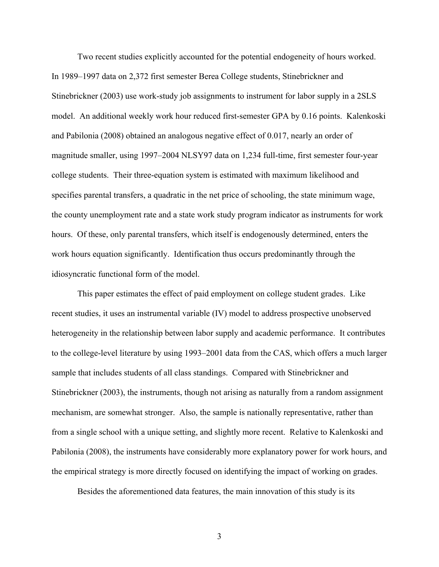Two recent studies explicitly accounted for the potential endogeneity of hours worked. In 1989–1997 data on 2,372 first semester Berea College students, Stinebrickner and Stinebrickner (2003) use work-study job assignments to instrument for labor supply in a 2SLS model. An additional weekly work hour reduced first-semester GPA by 0.16 points. Kalenkoski and Pabilonia (2008) obtained an analogous negative effect of 0.017, nearly an order of magnitude smaller, using 1997–2004 NLSY97 data on 1,234 full-time, first semester four-year college students. Their three-equation system is estimated with maximum likelihood and specifies parental transfers, a quadratic in the net price of schooling, the state minimum wage, the county unemployment rate and a state work study program indicator as instruments for work hours. Of these, only parental transfers, which itself is endogenously determined, enters the work hours equation significantly. Identification thus occurs predominantly through the idiosyncratic functional form of the model.

This paper estimates the effect of paid employment on college student grades. Like recent studies, it uses an instrumental variable (IV) model to address prospective unobserved heterogeneity in the relationship between labor supply and academic performance. It contributes to the college-level literature by using 1993–2001 data from the CAS, which offers a much larger sample that includes students of all class standings. Compared with Stinebrickner and Stinebrickner (2003), the instruments, though not arising as naturally from a random assignment mechanism, are somewhat stronger. Also, the sample is nationally representative, rather than from a single school with a unique setting, and slightly more recent. Relative to Kalenkoski and Pabilonia (2008), the instruments have considerably more explanatory power for work hours, and the empirical strategy is more directly focused on identifying the impact of working on grades.

Besides the aforementioned data features, the main innovation of this study is its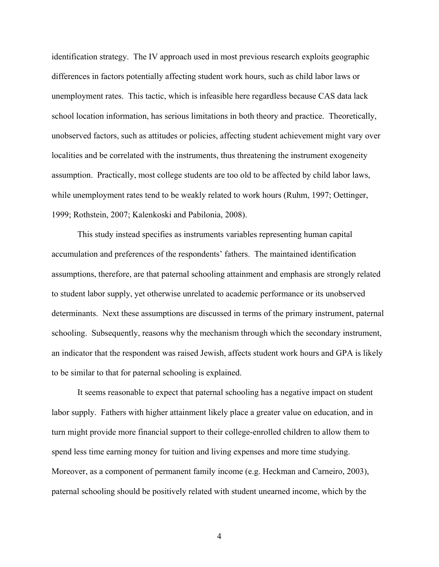identification strategy. The IV approach used in most previous research exploits geographic differences in factors potentially affecting student work hours, such as child labor laws or unemployment rates. This tactic, which is infeasible here regardless because CAS data lack school location information, has serious limitations in both theory and practice. Theoretically, unobserved factors, such as attitudes or policies, affecting student achievement might vary over localities and be correlated with the instruments, thus threatening the instrument exogeneity assumption. Practically, most college students are too old to be affected by child labor laws, while unemployment rates tend to be weakly related to work hours (Ruhm, 1997; Oettinger, 1999; Rothstein, 2007; Kalenkoski and Pabilonia, 2008).

This study instead specifies as instruments variables representing human capital accumulation and preferences of the respondents' fathers. The maintained identification assumptions, therefore, are that paternal schooling attainment and emphasis are strongly related to student labor supply, yet otherwise unrelated to academic performance or its unobserved determinants. Next these assumptions are discussed in terms of the primary instrument, paternal schooling. Subsequently, reasons why the mechanism through which the secondary instrument, an indicator that the respondent was raised Jewish, affects student work hours and GPA is likely to be similar to that for paternal schooling is explained.

It seems reasonable to expect that paternal schooling has a negative impact on student labor supply. Fathers with higher attainment likely place a greater value on education, and in turn might provide more financial support to their college-enrolled children to allow them to spend less time earning money for tuition and living expenses and more time studying. Moreover, as a component of permanent family income (e.g. Heckman and Carneiro, 2003), paternal schooling should be positively related with student unearned income, which by the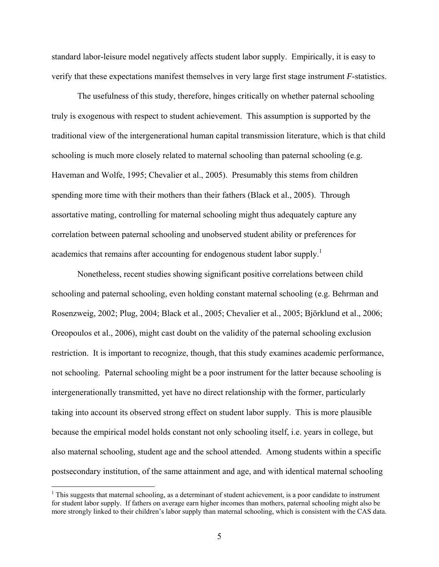standard labor-leisure model negatively affects student labor supply. Empirically, it is easy to verify that these expectations manifest themselves in very large first stage instrument *F*-statistics.

The usefulness of this study, therefore, hinges critically on whether paternal schooling truly is exogenous with respect to student achievement. This assumption is supported by the traditional view of the intergenerational human capital transmission literature, which is that child schooling is much more closely related to maternal schooling than paternal schooling (e.g. Haveman and Wolfe, 1995; Chevalier et al., 2005). Presumably this stems from children spending more time with their mothers than their fathers (Black et al., 2005). Through assortative mating, controlling for maternal schooling might thus adequately capture any correlation between paternal schooling and unobserved student ability or preferences for academics that remains after accounting for endogenous student labor supply.<sup>1</sup>

Nonetheless, recent studies showing significant positive correlations between child schooling and paternal schooling, even holding constant maternal schooling (e.g. Behrman and Rosenzweig, 2002; Plug, 2004; Black et al., 2005; Chevalier et al., 2005; Björklund et al., 2006; Oreopoulos et al., 2006), might cast doubt on the validity of the paternal schooling exclusion restriction. It is important to recognize, though, that this study examines academic performance, not schooling. Paternal schooling might be a poor instrument for the latter because schooling is intergenerationally transmitted, yet have no direct relationship with the former, particularly taking into account its observed strong effect on student labor supply. This is more plausible because the empirical model holds constant not only schooling itself, i.e. years in college, but also maternal schooling, student age and the school attended. Among students within a specific postsecondary institution, of the same attainment and age, and with identical maternal schooling

 $\overline{a}$ 

 $1$ <sup>1</sup> This suggests that maternal schooling, as a determinant of student achievement, is a poor candidate to instrument for student labor supply. If fathers on average earn higher incomes than mothers, paternal schooling might also be more strongly linked to their children's labor supply than maternal schooling, which is consistent with the CAS data.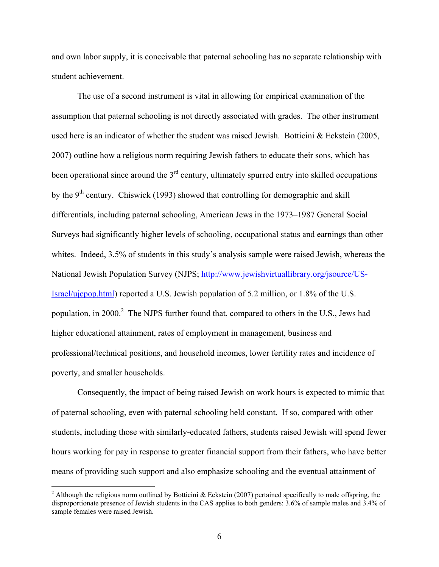and own labor supply, it is conceivable that paternal schooling has no separate relationship with student achievement.

The use of a second instrument is vital in allowing for empirical examination of the assumption that paternal schooling is not directly associated with grades. The other instrument used here is an indicator of whether the student was raised Jewish. Botticini & Eckstein (2005, 2007) outline how a religious norm requiring Jewish fathers to educate their sons, which has been operational since around the  $3<sup>rd</sup>$  century, ultimately spurred entry into skilled occupations by the  $9<sup>th</sup>$  century. Chiswick (1993) showed that controlling for demographic and skill differentials, including paternal schooling, American Jews in the 1973–1987 General Social Surveys had significantly higher levels of schooling, occupational status and earnings than other whites. Indeed, 3.5% of students in this study's analysis sample were raised Jewish, whereas the National Jewish Population Survey (NJPS; http://www.jewishvirtuallibrary.org/jsource/US-Israel/ujcpop.html) reported a U.S. Jewish population of 5.2 million, or 1.8% of the U.S. population, in 2000.<sup>2</sup> The NJPS further found that, compared to others in the U.S., Jews had higher educational attainment, rates of employment in management, business and professional/technical positions, and household incomes, lower fertility rates and incidence of poverty, and smaller households.

Consequently, the impact of being raised Jewish on work hours is expected to mimic that of paternal schooling, even with paternal schooling held constant. If so, compared with other students, including those with similarly-educated fathers, students raised Jewish will spend fewer hours working for pay in response to greater financial support from their fathers, who have better means of providing such support and also emphasize schooling and the eventual attainment of

<sup>&</sup>lt;sup>2</sup> Although the religious norm outlined by Botticini & Eckstein (2007) pertained specifically to male offspring, the disproportionate presence of Jewish students in the CAS applies to both genders: 3.6% of sample males and 3.4% of sample females were raised Jewish.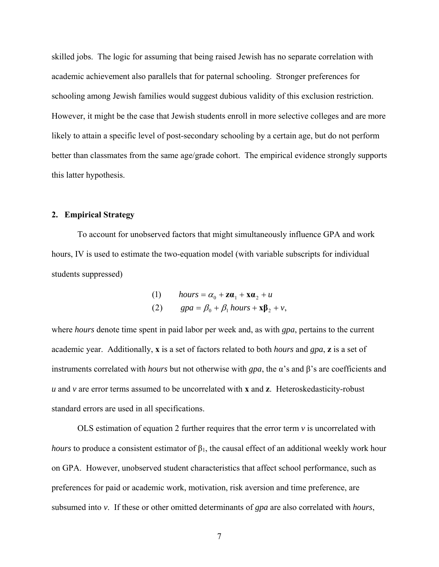skilled jobs. The logic for assuming that being raised Jewish has no separate correlation with academic achievement also parallels that for paternal schooling. Stronger preferences for schooling among Jewish families would suggest dubious validity of this exclusion restriction. However, it might be the case that Jewish students enroll in more selective colleges and are more likely to attain a specific level of post-secondary schooling by a certain age, but do not perform better than classmates from the same age/grade cohort. The empirical evidence strongly supports this latter hypothesis.

#### **2. Empirical Strategy**

To account for unobserved factors that might simultaneously influence GPA and work hours, IV is used to estimate the two-equation model (with variable subscripts for individual students suppressed)

(1) 
$$
hours = \alpha_0 + \mathbf{z}\mathbf{a}_1 + \mathbf{x}\mathbf{a}_2 + u
$$
  
(2) 
$$
gpa = \beta_0 + \beta_1 hours + \mathbf{x}\mathbf{\beta}_2 + v,
$$

where *hours* denote time spent in paid labor per week and, as with *gpa*, pertains to the current academic year. Additionally, **x** is a set of factors related to both *hours* and *gpa*, **z** is a set of instruments correlated with *hours* but not otherwise with *gpa*, the α's and β's are coefficients and *u* and *v* are error terms assumed to be uncorrelated with **x** and **z**. Heteroskedasticity-robust standard errors are used in all specifications.

OLS estimation of equation 2 further requires that the error term  $\nu$  is uncorrelated with *hours* to produce a consistent estimator of  $\beta_1$ , the causal effect of an additional weekly work hour on GPA. However, unobserved student characteristics that affect school performance, such as preferences for paid or academic work, motivation, risk aversion and time preference, are subsumed into *v*. If these or other omitted determinants of *gpa* are also correlated with *hours*,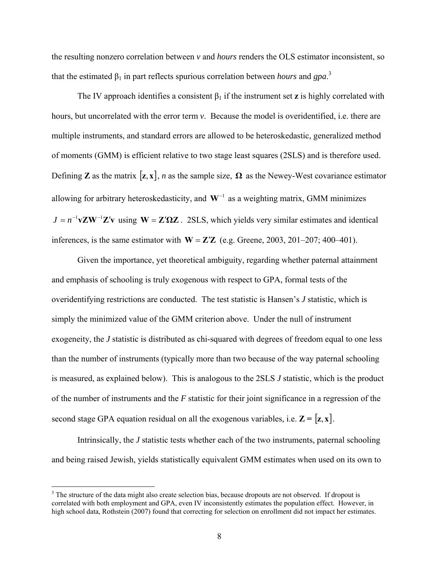the resulting nonzero correlation between *v* and *hours* renders the OLS estimator inconsistent, so that the estimated  $\beta_1$  in part reflects spurious correlation between *hours* and *gpa*.<sup>3</sup>

The IV approach identifies a consistent  $\beta_1$  if the instrument set **z** is highly correlated with hours, but uncorrelated with the error term *v*. Because the model is overidentified, i.e. there are multiple instruments, and standard errors are allowed to be heteroskedastic, generalized method of moments (GMM) is efficient relative to two stage least squares (2SLS) and is therefore used. Defining **Z** as the matrix  $[\mathbf{z}, \mathbf{x}]$ , *n* as the sample size,  $\Omega$  as the Newey-West covariance estimator allowing for arbitrary heteroskedasticity, and **W**<sup>−</sup><sup>1</sup> as a weighting matrix, GMM minimizes  $J = n^{-1}vZW^{-1}Z'v$  using  $W = Z'QZ$ . 2SLS, which yields very similar estimates and identical inferences, is the same estimator with  $W = Z'Z$  (e.g. Greene, 2003, 201–207; 400–401).

Given the importance, yet theoretical ambiguity, regarding whether paternal attainment and emphasis of schooling is truly exogenous with respect to GPA, formal tests of the overidentifying restrictions are conducted. The test statistic is Hansen's *J* statistic, which is simply the minimized value of the GMM criterion above. Under the null of instrument exogeneity, the *J* statistic is distributed as chi-squared with degrees of freedom equal to one less than the number of instruments (typically more than two because of the way paternal schooling is measured, as explained below). This is analogous to the 2SLS *J* statistic, which is the product of the number of instruments and the *F* statistic for their joint significance in a regression of the second stage GPA equation residual on all the exogenous variables, i.e.  $\mathbf{Z} = [\mathbf{z}, \mathbf{x}]$ .

Intrinsically, the *J* statistic tests whether each of the two instruments, paternal schooling and being raised Jewish, yields statistically equivalent GMM estimates when used on its own to

 $\overline{a}$ 

 $3$  The structure of the data might also create selection bias, because dropouts are not observed. If dropout is correlated with both employment and GPA, even IV inconsistently estimates the population effect. However, in high school data, Rothstein (2007) found that correcting for selection on enrollment did not impact her estimates.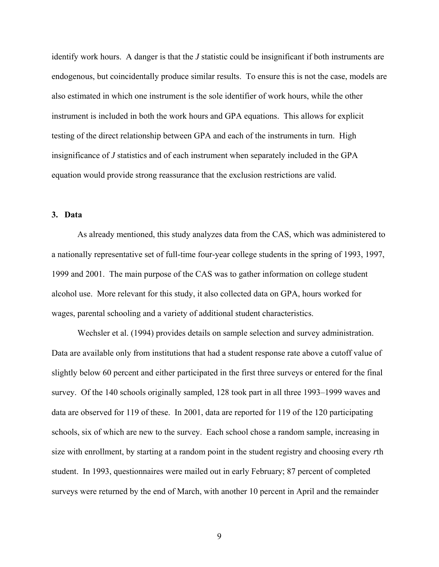identify work hours. A danger is that the *J* statistic could be insignificant if both instruments are endogenous, but coincidentally produce similar results. To ensure this is not the case, models are also estimated in which one instrument is the sole identifier of work hours, while the other instrument is included in both the work hours and GPA equations. This allows for explicit testing of the direct relationship between GPA and each of the instruments in turn. High insignificance of *J* statistics and of each instrument when separately included in the GPA equation would provide strong reassurance that the exclusion restrictions are valid.

## **3. Data**

As already mentioned, this study analyzes data from the CAS, which was administered to a nationally representative set of full-time four-year college students in the spring of 1993, 1997, 1999 and 2001. The main purpose of the CAS was to gather information on college student alcohol use. More relevant for this study, it also collected data on GPA, hours worked for wages, parental schooling and a variety of additional student characteristics.

Wechsler et al. (1994) provides details on sample selection and survey administration. Data are available only from institutions that had a student response rate above a cutoff value of slightly below 60 percent and either participated in the first three surveys or entered for the final survey. Of the 140 schools originally sampled, 128 took part in all three 1993–1999 waves and data are observed for 119 of these. In 2001, data are reported for 119 of the 120 participating schools, six of which are new to the survey. Each school chose a random sample, increasing in size with enrollment, by starting at a random point in the student registry and choosing every *r*th student. In 1993, questionnaires were mailed out in early February; 87 percent of completed surveys were returned by the end of March, with another 10 percent in April and the remainder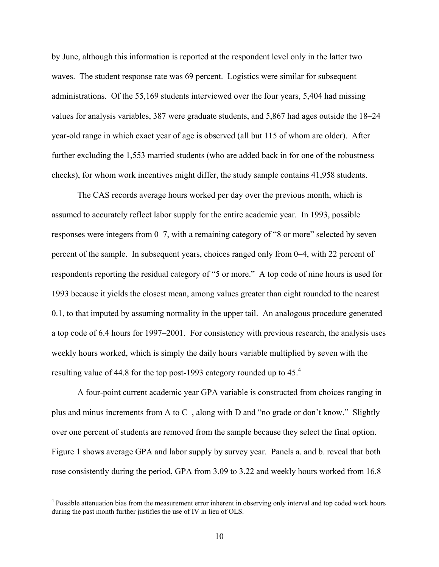by June, although this information is reported at the respondent level only in the latter two waves. The student response rate was 69 percent. Logistics were similar for subsequent administrations. Of the 55,169 students interviewed over the four years, 5,404 had missing values for analysis variables, 387 were graduate students, and 5,867 had ages outside the 18–24 year-old range in which exact year of age is observed (all but 115 of whom are older). After further excluding the 1,553 married students (who are added back in for one of the robustness checks), for whom work incentives might differ, the study sample contains 41,958 students.

The CAS records average hours worked per day over the previous month, which is assumed to accurately reflect labor supply for the entire academic year. In 1993, possible responses were integers from 0–7, with a remaining category of "8 or more" selected by seven percent of the sample. In subsequent years, choices ranged only from 0–4, with 22 percent of respondents reporting the residual category of "5 or more." A top code of nine hours is used for 1993 because it yields the closest mean, among values greater than eight rounded to the nearest 0.1, to that imputed by assuming normality in the upper tail. An analogous procedure generated a top code of 6.4 hours for 1997–2001. For consistency with previous research, the analysis uses weekly hours worked, which is simply the daily hours variable multiplied by seven with the resulting value of 44.8 for the top post-1993 category rounded up to 45.4

A four-point current academic year GPA variable is constructed from choices ranging in plus and minus increments from A to C–, along with D and "no grade or don't know." Slightly over one percent of students are removed from the sample because they select the final option. Figure 1 shows average GPA and labor supply by survey year. Panels a. and b. reveal that both rose consistently during the period, GPA from 3.09 to 3.22 and weekly hours worked from 16.8

<sup>&</sup>lt;sup>4</sup> Possible attenuation bias from the measurement error inherent in observing only interval and top coded work hours during the past month further justifies the use of IV in lieu of OLS.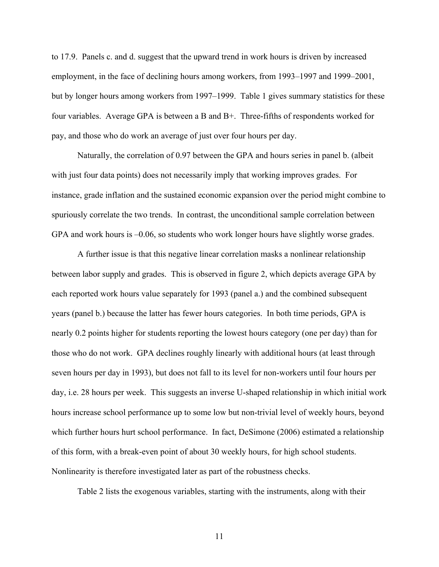to 17.9. Panels c. and d. suggest that the upward trend in work hours is driven by increased employment, in the face of declining hours among workers, from 1993–1997 and 1999–2001, but by longer hours among workers from 1997–1999. Table 1 gives summary statistics for these four variables. Average GPA is between a B and B+. Three-fifths of respondents worked for pay, and those who do work an average of just over four hours per day.

Naturally, the correlation of 0.97 between the GPA and hours series in panel b. (albeit with just four data points) does not necessarily imply that working improves grades. For instance, grade inflation and the sustained economic expansion over the period might combine to spuriously correlate the two trends. In contrast, the unconditional sample correlation between GPA and work hours is –0.06, so students who work longer hours have slightly worse grades.

A further issue is that this negative linear correlation masks a nonlinear relationship between labor supply and grades. This is observed in figure 2, which depicts average GPA by each reported work hours value separately for 1993 (panel a.) and the combined subsequent years (panel b.) because the latter has fewer hours categories. In both time periods, GPA is nearly 0.2 points higher for students reporting the lowest hours category (one per day) than for those who do not work. GPA declines roughly linearly with additional hours (at least through seven hours per day in 1993), but does not fall to its level for non-workers until four hours per day, i.e. 28 hours per week. This suggests an inverse U-shaped relationship in which initial work hours increase school performance up to some low but non-trivial level of weekly hours, beyond which further hours hurt school performance. In fact, DeSimone (2006) estimated a relationship of this form, with a break-even point of about 30 weekly hours, for high school students. Nonlinearity is therefore investigated later as part of the robustness checks.

Table 2 lists the exogenous variables, starting with the instruments, along with their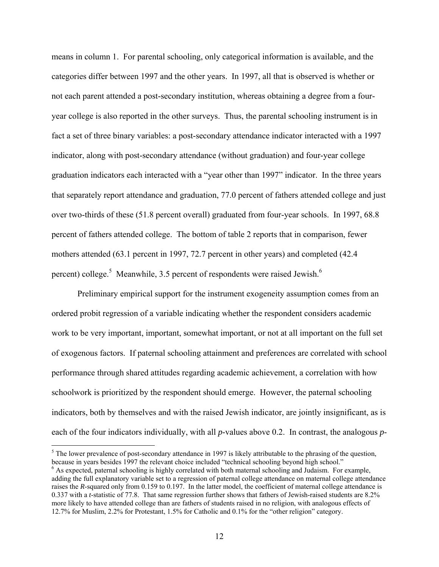means in column 1. For parental schooling, only categorical information is available, and the categories differ between 1997 and the other years. In 1997, all that is observed is whether or not each parent attended a post-secondary institution, whereas obtaining a degree from a fouryear college is also reported in the other surveys. Thus, the parental schooling instrument is in fact a set of three binary variables: a post-secondary attendance indicator interacted with a 1997 indicator, along with post-secondary attendance (without graduation) and four-year college graduation indicators each interacted with a "year other than 1997" indicator. In the three years that separately report attendance and graduation, 77.0 percent of fathers attended college and just over two-thirds of these (51.8 percent overall) graduated from four-year schools. In 1997, 68.8 percent of fathers attended college. The bottom of table 2 reports that in comparison, fewer mothers attended (63.1 percent in 1997, 72.7 percent in other years) and completed (42.4 percent) college.<sup>5</sup> Meanwhile, 3.5 percent of respondents were raised Jewish.<sup>6</sup>

Preliminary empirical support for the instrument exogeneity assumption comes from an ordered probit regression of a variable indicating whether the respondent considers academic work to be very important, important, somewhat important, or not at all important on the full set of exogenous factors. If paternal schooling attainment and preferences are correlated with school performance through shared attitudes regarding academic achievement, a correlation with how schoolwork is prioritized by the respondent should emerge. However, the paternal schooling indicators, both by themselves and with the raised Jewish indicator, are jointly insignificant, as is each of the four indicators individually, with all *p*-values above 0.2. In contrast, the analogous *p*-

 $\overline{a}$ 

 $<sup>5</sup>$  The lower prevalence of post-secondary attendance in 1997 is likely attributable to the phrasing of the question,</sup> because in years besides 1997 the relevant choice included "technical schooling beyond high school." 6

 $6$  As expected, paternal schooling is highly correlated with both maternal schooling and Judaism. For example, adding the full explanatory variable set to a regression of paternal college attendance on maternal college attendance raises the *R*-squared only from 0.159 to 0.197. In the latter model, the coefficient of maternal college attendance is 0.337 with a *t*-statistic of 77.8. That same regression further shows that fathers of Jewish-raised students are 8.2% more likely to have attended college than are fathers of students raised in no religion, with analogous effects of 12.7% for Muslim, 2.2% for Protestant, 1.5% for Catholic and 0.1% for the "other religion" category.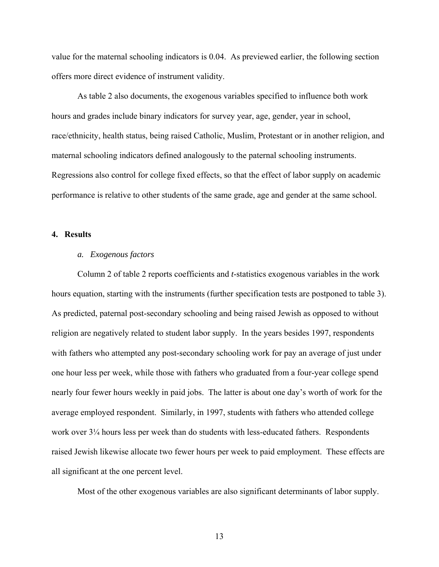value for the maternal schooling indicators is 0.04. As previewed earlier, the following section offers more direct evidence of instrument validity.

As table 2 also documents, the exogenous variables specified to influence both work hours and grades include binary indicators for survey year, age, gender, year in school, race/ethnicity, health status, being raised Catholic, Muslim, Protestant or in another religion, and maternal schooling indicators defined analogously to the paternal schooling instruments. Regressions also control for college fixed effects, so that the effect of labor supply on academic performance is relative to other students of the same grade, age and gender at the same school.

## **4. Results**

#### *a. Exogenous factors*

Column 2 of table 2 reports coefficients and *t*-statistics exogenous variables in the work hours equation, starting with the instruments (further specification tests are postponed to table 3). As predicted, paternal post-secondary schooling and being raised Jewish as opposed to without religion are negatively related to student labor supply. In the years besides 1997, respondents with fathers who attempted any post-secondary schooling work for pay an average of just under one hour less per week, while those with fathers who graduated from a four-year college spend nearly four fewer hours weekly in paid jobs. The latter is about one day's worth of work for the average employed respondent. Similarly, in 1997, students with fathers who attended college work over 3¼ hours less per week than do students with less-educated fathers. Respondents raised Jewish likewise allocate two fewer hours per week to paid employment. These effects are all significant at the one percent level.

Most of the other exogenous variables are also significant determinants of labor supply.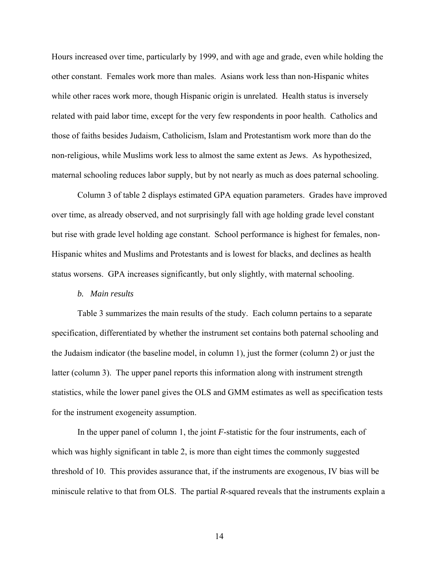Hours increased over time, particularly by 1999, and with age and grade, even while holding the other constant. Females work more than males. Asians work less than non-Hispanic whites while other races work more, though Hispanic origin is unrelated. Health status is inversely related with paid labor time, except for the very few respondents in poor health. Catholics and those of faiths besides Judaism, Catholicism, Islam and Protestantism work more than do the non-religious, while Muslims work less to almost the same extent as Jews. As hypothesized, maternal schooling reduces labor supply, but by not nearly as much as does paternal schooling.

Column 3 of table 2 displays estimated GPA equation parameters. Grades have improved over time, as already observed, and not surprisingly fall with age holding grade level constant but rise with grade level holding age constant. School performance is highest for females, non-Hispanic whites and Muslims and Protestants and is lowest for blacks, and declines as health status worsens. GPA increases significantly, but only slightly, with maternal schooling.

#### *b. Main results*

Table 3 summarizes the main results of the study. Each column pertains to a separate specification, differentiated by whether the instrument set contains both paternal schooling and the Judaism indicator (the baseline model, in column 1), just the former (column 2) or just the latter (column 3). The upper panel reports this information along with instrument strength statistics, while the lower panel gives the OLS and GMM estimates as well as specification tests for the instrument exogeneity assumption.

In the upper panel of column 1, the joint *F*-statistic for the four instruments, each of which was highly significant in table 2, is more than eight times the commonly suggested threshold of 10. This provides assurance that, if the instruments are exogenous, IV bias will be miniscule relative to that from OLS. The partial *R*-squared reveals that the instruments explain a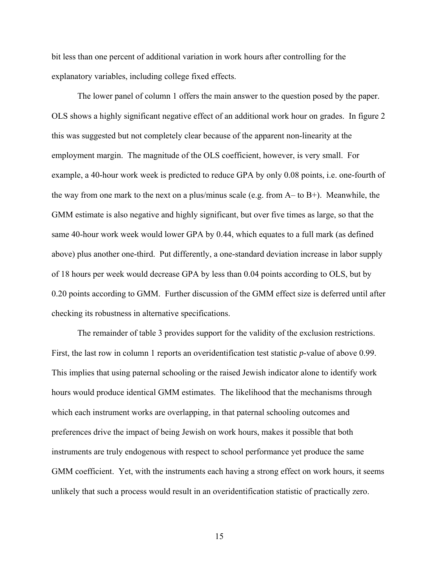bit less than one percent of additional variation in work hours after controlling for the explanatory variables, including college fixed effects.

The lower panel of column 1 offers the main answer to the question posed by the paper. OLS shows a highly significant negative effect of an additional work hour on grades. In figure 2 this was suggested but not completely clear because of the apparent non-linearity at the employment margin. The magnitude of the OLS coefficient, however, is very small. For example, a 40-hour work week is predicted to reduce GPA by only 0.08 points, i.e. one-fourth of the way from one mark to the next on a plus/minus scale (e.g. from  $A$ – to  $B$ +). Meanwhile, the GMM estimate is also negative and highly significant, but over five times as large, so that the same 40-hour work week would lower GPA by 0.44, which equates to a full mark (as defined above) plus another one-third. Put differently, a one-standard deviation increase in labor supply of 18 hours per week would decrease GPA by less than 0.04 points according to OLS, but by 0.20 points according to GMM. Further discussion of the GMM effect size is deferred until after checking its robustness in alternative specifications.

The remainder of table 3 provides support for the validity of the exclusion restrictions. First, the last row in column 1 reports an overidentification test statistic *p*-value of above 0.99. This implies that using paternal schooling or the raised Jewish indicator alone to identify work hours would produce identical GMM estimates. The likelihood that the mechanisms through which each instrument works are overlapping, in that paternal schooling outcomes and preferences drive the impact of being Jewish on work hours, makes it possible that both instruments are truly endogenous with respect to school performance yet produce the same GMM coefficient. Yet, with the instruments each having a strong effect on work hours, it seems unlikely that such a process would result in an overidentification statistic of practically zero.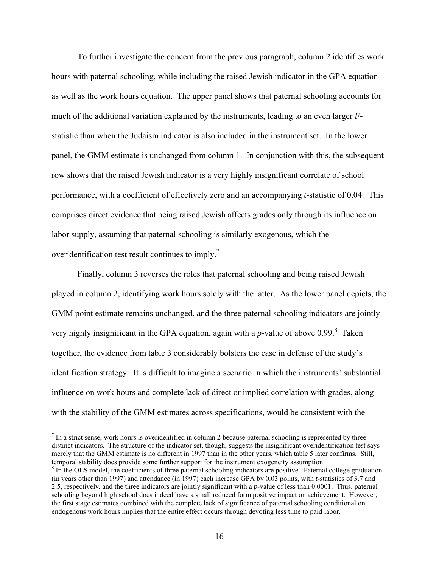To further investigate the concern from the previous paragraph, column 2 identifies work hours with paternal schooling, while including the raised Jewish indicator in the GPA equation as well as the work hours equation. The upper panel shows that paternal schooling accounts for much of the additional variation explained by the instruments, leading to an even larger *F*statistic than when the Judaism indicator is also included in the instrument set. In the lower panel, the GMM estimate is unchanged from column 1. In conjunction with this, the subsequent row shows that the raised Jewish indicator is a very highly insignificant correlate of school performance, with a coefficient of effectively zero and an accompanying *t*-statistic of 0.04. This comprises direct evidence that being raised Jewish affects grades only through its influence on labor supply, assuming that paternal schooling is similarly exogenous, which the overidentification test result continues to imply.<sup>7</sup>

Finally, column 3 reverses the roles that paternal schooling and being raised Jewish played in column 2, identifying work hours solely with the latter. As the lower panel depicts, the GMM point estimate remains unchanged, and the three paternal schooling indicators are jointly very highly insignificant in the GPA equation, again with a  $p$ -value of above 0.99. $\textdegree$  Taken together, the evidence from table 3 considerably bolsters the case in defense of the study's identification strategy. It is difficult to imagine a scenario in which the instruments' substantial influence on work hours and complete lack of direct or implied correlation with grades, along with the stability of the GMM estimates across specifications, would be consistent with the

 $\overline{a}$ 

 $<sup>7</sup>$  In a strict sense, work hours is overidentified in column 2 because paternal schooling is represented by three</sup> distinct indicators. The structure of the indicator set, though, suggests the insignificant overidentification test says merely that the GMM estimate is no different in 1997 than in the other years, which table 5 later confirms. Still, temporal stability does provide some further support for the instrument exogeneity assumption.

<sup>&</sup>lt;sup>8</sup> In the OLS model, the coefficients of three paternal schooling indicators are positive. Paternal college graduation (in years other than 1997) and attendance (in 1997) each increase GPA by 0.03 points, with *t*-statistics of 3.7 and 2.5, respectively, and the three indicators are jointly significant with a *p*-value of less than 0.0001. Thus, paternal schooling beyond high school does indeed have a small reduced form positive impact on achievement. However, the first stage estimates combined with the complete lack of significance of paternal schooling conditional on endogenous work hours implies that the entire effect occurs through devoting less time to paid labor.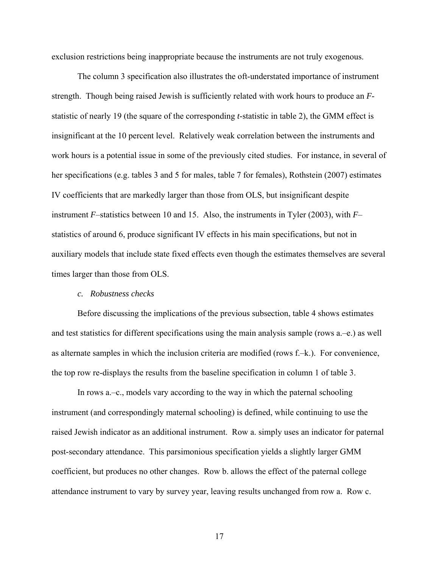exclusion restrictions being inappropriate because the instruments are not truly exogenous.

 The column 3 specification also illustrates the oft-understated importance of instrument strength. Though being raised Jewish is sufficiently related with work hours to produce an *F*statistic of nearly 19 (the square of the corresponding *t*-statistic in table 2), the GMM effect is insignificant at the 10 percent level. Relatively weak correlation between the instruments and work hours is a potential issue in some of the previously cited studies. For instance, in several of her specifications (e.g. tables 3 and 5 for males, table 7 for females), Rothstein (2007) estimates IV coefficients that are markedly larger than those from OLS, but insignificant despite instrument *F*–statistics between 10 and 15. Also, the instruments in Tyler (2003), with *F*– statistics of around 6, produce significant IV effects in his main specifications, but not in auxiliary models that include state fixed effects even though the estimates themselves are several times larger than those from OLS.

#### *c. Robustness checks*

Before discussing the implications of the previous subsection, table 4 shows estimates and test statistics for different specifications using the main analysis sample (rows a.–e.) as well as alternate samples in which the inclusion criteria are modified (rows f.–k.). For convenience, the top row re-displays the results from the baseline specification in column 1 of table 3.

In rows a.–c., models vary according to the way in which the paternal schooling instrument (and correspondingly maternal schooling) is defined, while continuing to use the raised Jewish indicator as an additional instrument. Row a. simply uses an indicator for paternal post-secondary attendance. This parsimonious specification yields a slightly larger GMM coefficient, but produces no other changes. Row b. allows the effect of the paternal college attendance instrument to vary by survey year, leaving results unchanged from row a. Row c.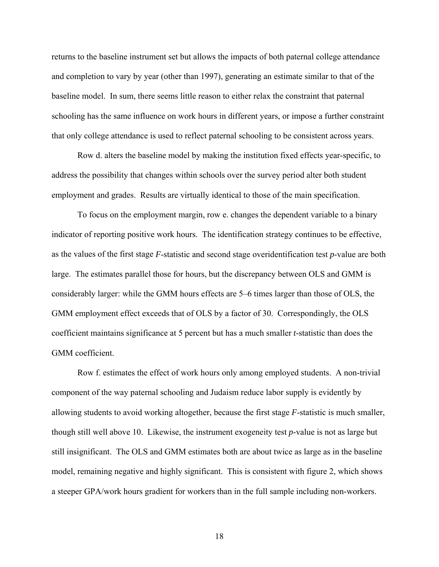returns to the baseline instrument set but allows the impacts of both paternal college attendance and completion to vary by year (other than 1997), generating an estimate similar to that of the baseline model. In sum, there seems little reason to either relax the constraint that paternal schooling has the same influence on work hours in different years, or impose a further constraint that only college attendance is used to reflect paternal schooling to be consistent across years.

Row d. alters the baseline model by making the institution fixed effects year-specific, to address the possibility that changes within schools over the survey period alter both student employment and grades. Results are virtually identical to those of the main specification.

To focus on the employment margin, row e. changes the dependent variable to a binary indicator of reporting positive work hours. The identification strategy continues to be effective, as the values of the first stage *F*-statistic and second stage overidentification test *p*-value are both large. The estimates parallel those for hours, but the discrepancy between OLS and GMM is considerably larger: while the GMM hours effects are 5–6 times larger than those of OLS, the GMM employment effect exceeds that of OLS by a factor of 30. Correspondingly, the OLS coefficient maintains significance at 5 percent but has a much smaller *t*-statistic than does the GMM coefficient.

Row f. estimates the effect of work hours only among employed students. A non-trivial component of the way paternal schooling and Judaism reduce labor supply is evidently by allowing students to avoid working altogether, because the first stage *F*-statistic is much smaller, though still well above 10. Likewise, the instrument exogeneity test *p*-value is not as large but still insignificant. The OLS and GMM estimates both are about twice as large as in the baseline model, remaining negative and highly significant. This is consistent with figure 2, which shows a steeper GPA/work hours gradient for workers than in the full sample including non-workers.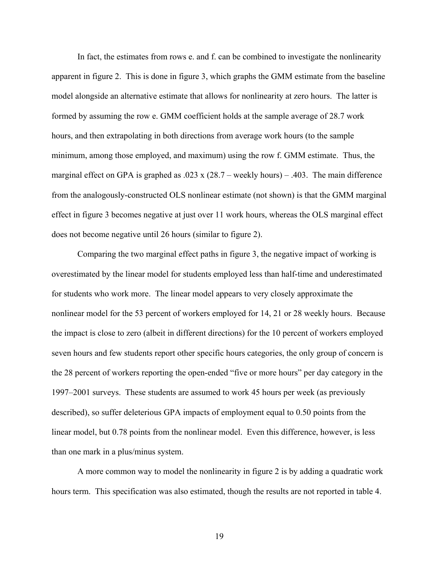In fact, the estimates from rows e. and f. can be combined to investigate the nonlinearity apparent in figure 2. This is done in figure 3, which graphs the GMM estimate from the baseline model alongside an alternative estimate that allows for nonlinearity at zero hours. The latter is formed by assuming the row e. GMM coefficient holds at the sample average of 28.7 work hours, and then extrapolating in both directions from average work hours (to the sample minimum, among those employed, and maximum) using the row f. GMM estimate. Thus, the marginal effect on GPA is graphed as .023 x  $(28.7 -$  weekly hours) – .403. The main difference from the analogously-constructed OLS nonlinear estimate (not shown) is that the GMM marginal effect in figure 3 becomes negative at just over 11 work hours, whereas the OLS marginal effect does not become negative until 26 hours (similar to figure 2).

Comparing the two marginal effect paths in figure 3, the negative impact of working is overestimated by the linear model for students employed less than half-time and underestimated for students who work more. The linear model appears to very closely approximate the nonlinear model for the 53 percent of workers employed for 14, 21 or 28 weekly hours. Because the impact is close to zero (albeit in different directions) for the 10 percent of workers employed seven hours and few students report other specific hours categories, the only group of concern is the 28 percent of workers reporting the open-ended "five or more hours" per day category in the 1997–2001 surveys. These students are assumed to work 45 hours per week (as previously described), so suffer deleterious GPA impacts of employment equal to 0.50 points from the linear model, but 0.78 points from the nonlinear model. Even this difference, however, is less than one mark in a plus/minus system.

A more common way to model the nonlinearity in figure 2 is by adding a quadratic work hours term. This specification was also estimated, though the results are not reported in table 4.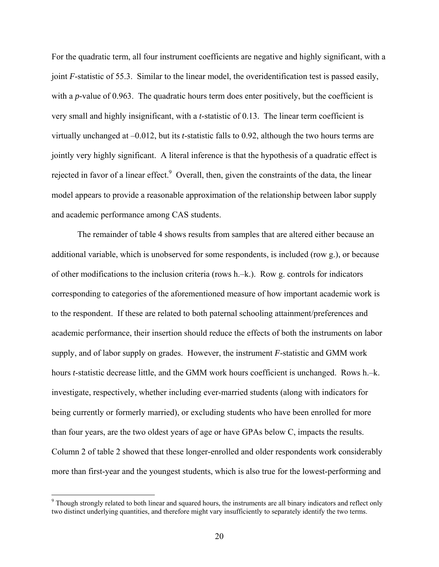For the quadratic term, all four instrument coefficients are negative and highly significant, with a joint *F*-statistic of 55.3. Similar to the linear model, the overidentification test is passed easily, with a *p*-value of 0.963. The quadratic hours term does enter positively, but the coefficient is very small and highly insignificant, with a *t*-statistic of 0.13. The linear term coefficient is virtually unchanged at –0.012, but its *t*-statistic falls to 0.92, although the two hours terms are jointly very highly significant. A literal inference is that the hypothesis of a quadratic effect is rejected in favor of a linear effect.<sup>9</sup> Overall, then, given the constraints of the data, the linear model appears to provide a reasonable approximation of the relationship between labor supply and academic performance among CAS students.

The remainder of table 4 shows results from samples that are altered either because an additional variable, which is unobserved for some respondents, is included (row g.), or because of other modifications to the inclusion criteria (rows h.–k.). Row g. controls for indicators corresponding to categories of the aforementioned measure of how important academic work is to the respondent. If these are related to both paternal schooling attainment/preferences and academic performance, their insertion should reduce the effects of both the instruments on labor supply, and of labor supply on grades. However, the instrument *F*-statistic and GMM work hours *t*-statistic decrease little, and the GMM work hours coefficient is unchanged. Rows h.–k. investigate, respectively, whether including ever-married students (along with indicators for being currently or formerly married), or excluding students who have been enrolled for more than four years, are the two oldest years of age or have GPAs below C, impacts the results. Column 2 of table 2 showed that these longer-enrolled and older respondents work considerably more than first-year and the youngest students, which is also true for the lowest-performing and

 $\overline{a}$ 

<sup>&</sup>lt;sup>9</sup> Though strongly related to both linear and squared hours, the instruments are all binary indicators and reflect only two distinct underlying quantities, and therefore might vary insufficiently to separately identify the two terms.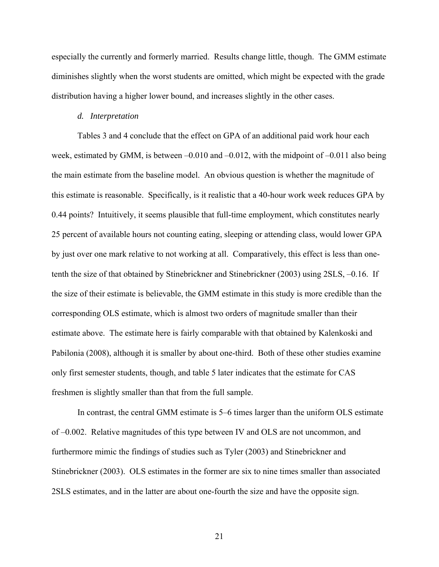especially the currently and formerly married. Results change little, though. The GMM estimate diminishes slightly when the worst students are omitted, which might be expected with the grade distribution having a higher lower bound, and increases slightly in the other cases.

#### *d. Interpretation*

Tables 3 and 4 conclude that the effect on GPA of an additional paid work hour each week, estimated by GMM, is between –0.010 and –0.012, with the midpoint of –0.011 also being the main estimate from the baseline model. An obvious question is whether the magnitude of this estimate is reasonable. Specifically, is it realistic that a 40-hour work week reduces GPA by 0.44 points? Intuitively, it seems plausible that full-time employment, which constitutes nearly 25 percent of available hours not counting eating, sleeping or attending class, would lower GPA by just over one mark relative to not working at all. Comparatively, this effect is less than onetenth the size of that obtained by Stinebrickner and Stinebrickner (2003) using 2SLS, –0.16. If the size of their estimate is believable, the GMM estimate in this study is more credible than the corresponding OLS estimate, which is almost two orders of magnitude smaller than their estimate above. The estimate here is fairly comparable with that obtained by Kalenkoski and Pabilonia (2008), although it is smaller by about one-third. Both of these other studies examine only first semester students, though, and table 5 later indicates that the estimate for CAS freshmen is slightly smaller than that from the full sample.

In contrast, the central GMM estimate is 5–6 times larger than the uniform OLS estimate of –0.002. Relative magnitudes of this type between IV and OLS are not uncommon, and furthermore mimic the findings of studies such as Tyler (2003) and Stinebrickner and Stinebrickner (2003). OLS estimates in the former are six to nine times smaller than associated 2SLS estimates, and in the latter are about one-fourth the size and have the opposite sign.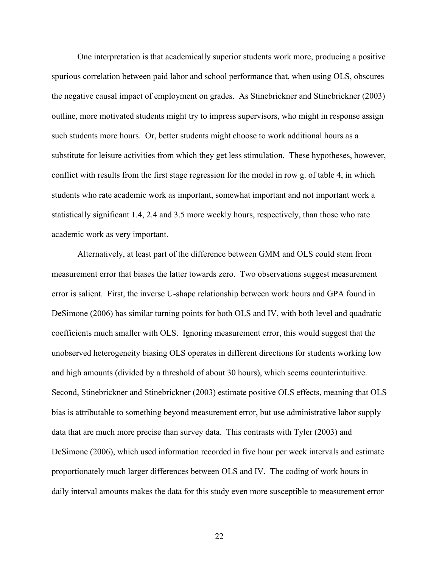One interpretation is that academically superior students work more, producing a positive spurious correlation between paid labor and school performance that, when using OLS, obscures the negative causal impact of employment on grades. As Stinebrickner and Stinebrickner (2003) outline, more motivated students might try to impress supervisors, who might in response assign such students more hours. Or, better students might choose to work additional hours as a substitute for leisure activities from which they get less stimulation. These hypotheses, however, conflict with results from the first stage regression for the model in row g. of table 4, in which students who rate academic work as important, somewhat important and not important work a statistically significant 1.4, 2.4 and 3.5 more weekly hours, respectively, than those who rate academic work as very important.

Alternatively, at least part of the difference between GMM and OLS could stem from measurement error that biases the latter towards zero. Two observations suggest measurement error is salient. First, the inverse U-shape relationship between work hours and GPA found in DeSimone (2006) has similar turning points for both OLS and IV, with both level and quadratic coefficients much smaller with OLS. Ignoring measurement error, this would suggest that the unobserved heterogeneity biasing OLS operates in different directions for students working low and high amounts (divided by a threshold of about 30 hours), which seems counterintuitive. Second, Stinebrickner and Stinebrickner (2003) estimate positive OLS effects, meaning that OLS bias is attributable to something beyond measurement error, but use administrative labor supply data that are much more precise than survey data. This contrasts with Tyler (2003) and DeSimone (2006), which used information recorded in five hour per week intervals and estimate proportionately much larger differences between OLS and IV. The coding of work hours in daily interval amounts makes the data for this study even more susceptible to measurement error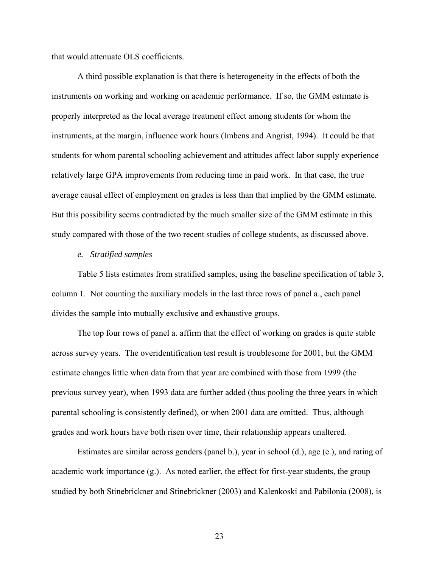that would attenuate OLS coefficients.

A third possible explanation is that there is heterogeneity in the effects of both the instruments on working and working on academic performance. If so, the GMM estimate is properly interpreted as the local average treatment effect among students for whom the instruments, at the margin, influence work hours (Imbens and Angrist, 1994). It could be that students for whom parental schooling achievement and attitudes affect labor supply experience relatively large GPA improvements from reducing time in paid work. In that case, the true average causal effect of employment on grades is less than that implied by the GMM estimate. But this possibility seems contradicted by the much smaller size of the GMM estimate in this study compared with those of the two recent studies of college students, as discussed above.

#### *e. Stratified samples*

Table 5 lists estimates from stratified samples, using the baseline specification of table 3, column 1. Not counting the auxiliary models in the last three rows of panel a., each panel divides the sample into mutually exclusive and exhaustive groups.

The top four rows of panel a. affirm that the effect of working on grades is quite stable across survey years. The overidentification test result is troublesome for 2001, but the GMM estimate changes little when data from that year are combined with those from 1999 (the previous survey year), when 1993 data are further added (thus pooling the three years in which parental schooling is consistently defined), or when 2001 data are omitted. Thus, although grades and work hours have both risen over time, their relationship appears unaltered.

Estimates are similar across genders (panel b.), year in school (d.), age (e.), and rating of academic work importance (g.). As noted earlier, the effect for first-year students, the group studied by both Stinebrickner and Stinebrickner (2003) and Kalenkoski and Pabilonia (2008), is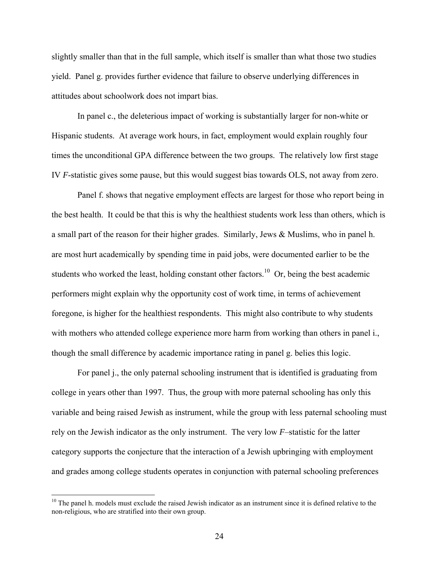slightly smaller than that in the full sample, which itself is smaller than what those two studies yield. Panel g. provides further evidence that failure to observe underlying differences in attitudes about schoolwork does not impart bias.

In panel c., the deleterious impact of working is substantially larger for non-white or Hispanic students. At average work hours, in fact, employment would explain roughly four times the unconditional GPA difference between the two groups. The relatively low first stage IV *F*-statistic gives some pause, but this would suggest bias towards OLS, not away from zero.

Panel f. shows that negative employment effects are largest for those who report being in the best health. It could be that this is why the healthiest students work less than others, which is a small part of the reason for their higher grades. Similarly, Jews & Muslims, who in panel h. are most hurt academically by spending time in paid jobs, were documented earlier to be the students who worked the least, holding constant other factors.<sup>10</sup> Or, being the best academic performers might explain why the opportunity cost of work time, in terms of achievement foregone, is higher for the healthiest respondents. This might also contribute to why students with mothers who attended college experience more harm from working than others in panel i., though the small difference by academic importance rating in panel g. belies this logic.

For panel j., the only paternal schooling instrument that is identified is graduating from college in years other than 1997. Thus, the group with more paternal schooling has only this variable and being raised Jewish as instrument, while the group with less paternal schooling must rely on the Jewish indicator as the only instrument. The very low *F*–statistic for the latter category supports the conjecture that the interaction of a Jewish upbringing with employment and grades among college students operates in conjunction with paternal schooling preferences

 $\overline{a}$ 

<sup>&</sup>lt;sup>10</sup> The panel h. models must exclude the raised Jewish indicator as an instrument since it is defined relative to the non-religious, who are stratified into their own group.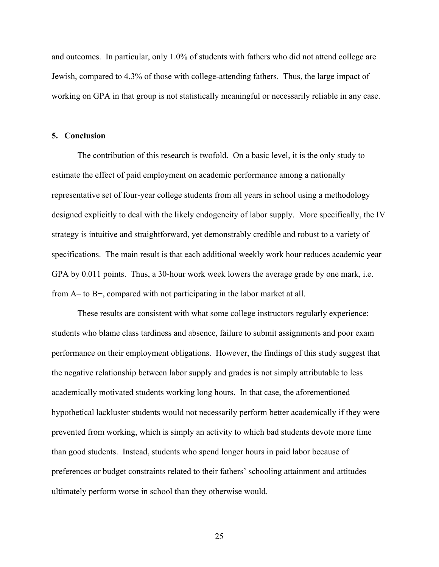and outcomes. In particular, only 1.0% of students with fathers who did not attend college are Jewish, compared to 4.3% of those with college-attending fathers. Thus, the large impact of working on GPA in that group is not statistically meaningful or necessarily reliable in any case.

#### **5. Conclusion**

The contribution of this research is twofold. On a basic level, it is the only study to estimate the effect of paid employment on academic performance among a nationally representative set of four-year college students from all years in school using a methodology designed explicitly to deal with the likely endogeneity of labor supply. More specifically, the IV strategy is intuitive and straightforward, yet demonstrably credible and robust to a variety of specifications. The main result is that each additional weekly work hour reduces academic year GPA by 0.011 points. Thus, a 30-hour work week lowers the average grade by one mark, i.e. from A– to B+, compared with not participating in the labor market at all.

These results are consistent with what some college instructors regularly experience: students who blame class tardiness and absence, failure to submit assignments and poor exam performance on their employment obligations. However, the findings of this study suggest that the negative relationship between labor supply and grades is not simply attributable to less academically motivated students working long hours. In that case, the aforementioned hypothetical lackluster students would not necessarily perform better academically if they were prevented from working, which is simply an activity to which bad students devote more time than good students. Instead, students who spend longer hours in paid labor because of preferences or budget constraints related to their fathers' schooling attainment and attitudes ultimately perform worse in school than they otherwise would.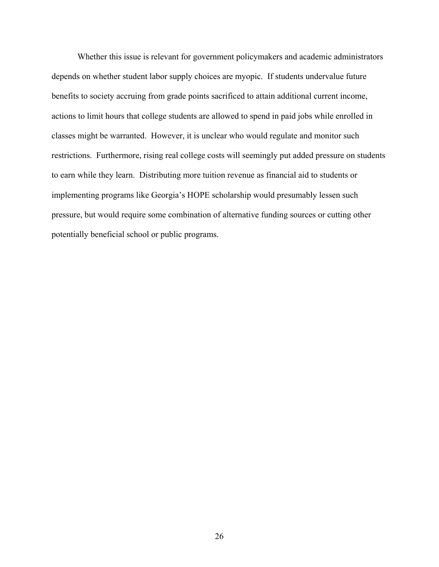Whether this issue is relevant for government policymakers and academic administrators depends on whether student labor supply choices are myopic. If students undervalue future benefits to society accruing from grade points sacrificed to attain additional current income, actions to limit hours that college students are allowed to spend in paid jobs while enrolled in classes might be warranted. However, it is unclear who would regulate and monitor such restrictions. Furthermore, rising real college costs will seemingly put added pressure on students to earn while they learn. Distributing more tuition revenue as financial aid to students or implementing programs like Georgia's HOPE scholarship would presumably lessen such pressure, but would require some combination of alternative funding sources or cutting other potentially beneficial school or public programs.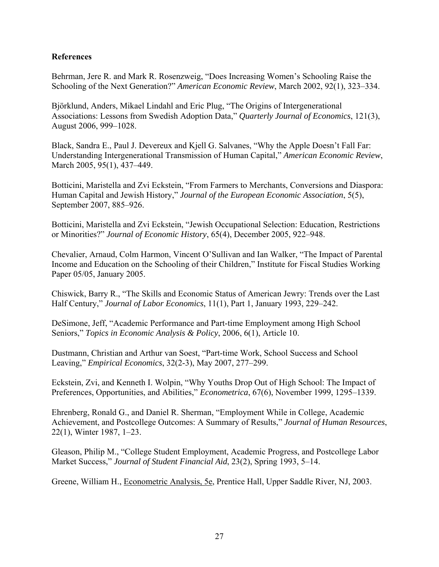## **References**

Behrman, Jere R. and Mark R. Rosenzweig, "Does Increasing Women's Schooling Raise the Schooling of the Next Generation?" *American Economic Review*, March 2002, 92(1), 323–334.

Björklund, Anders, Mikael Lindahl and Eric Plug, "The Origins of Intergenerational Associations: Lessons from Swedish Adoption Data," *Quarterly Journal of Economics*, 121(3), August 2006, 999–1028.

Black, Sandra E., Paul J. Devereux and Kjell G. Salvanes, "Why the Apple Doesn't Fall Far: Understanding Intergenerational Transmission of Human Capital," *American Economic Review*, March 2005, 95(1), 437–449.

Botticini, Maristella and Zvi Eckstein, "From Farmers to Merchants, Conversions and Diaspora: Human Capital and Jewish History," *Journal of the European Economic Association*, 5(5), September 2007, 885–926.

Botticini, Maristella and Zvi Eckstein, "Jewish Occupational Selection: Education, Restrictions or Minorities?" *Journal of Economic History*, 65(4), December 2005, 922–948.

Chevalier, Arnaud, Colm Harmon, Vincent O'Sullivan and Ian Walker, "The Impact of Parental Income and Education on the Schooling of their Children," Institute for Fiscal Studies Working Paper 05/05, January 2005.

Chiswick, Barry R., "The Skills and Economic Status of American Jewry: Trends over the Last Half Century," *Journal of Labor Economics*, 11(1), Part 1, January 1993, 229–242.

DeSimone, Jeff, "Academic Performance and Part-time Employment among High School Seniors," *Topics in Economic Analysis & Policy*, 2006, 6(1), Article 10.

Dustmann, Christian and Arthur van Soest, "Part-time Work, School Success and School Leaving," *Empirical Economics*, 32(2-3), May 2007, 277–299.

Eckstein, Zvi, and Kenneth I. Wolpin, "Why Youths Drop Out of High School: The Impact of Preferences, Opportunities, and Abilities," *Econometrica*, 67(6), November 1999, 1295–1339.

Ehrenberg, Ronald G., and Daniel R. Sherman, "Employment While in College, Academic Achievement, and Postcollege Outcomes: A Summary of Results," *Journal of Human Resources*, 22(1), Winter 1987, 1–23.

Gleason, Philip M., "College Student Employment, Academic Progress, and Postcollege Labor Market Success," *Journal of Student Financial Aid*, 23(2), Spring 1993, 5–14.

Greene, William H., Econometric Analysis, 5e, Prentice Hall, Upper Saddle River, NJ, 2003.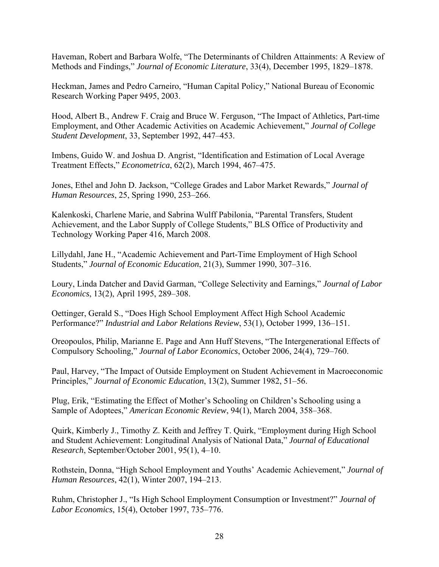Haveman, Robert and Barbara Wolfe, "The Determinants of Children Attainments: A Review of Methods and Findings," *Journal of Economic Literature*, 33(4), December 1995, 1829–1878.

Heckman, James and Pedro Carneiro, "Human Capital Policy," National Bureau of Economic Research Working Paper 9495, 2003.

Hood, Albert B., Andrew F. Craig and Bruce W. Ferguson, "The Impact of Athletics, Part-time Employment, and Other Academic Activities on Academic Achievement," *Journal of College Student Development*, 33, September 1992, 447–453.

Imbens, Guido W. and Joshua D. Angrist, "Identification and Estimation of Local Average Treatment Effects," *Econometrica*, 62(2), March 1994, 467–475.

Jones, Ethel and John D. Jackson, "College Grades and Labor Market Rewards," *Journal of Human Resources*, 25, Spring 1990, 253–266.

Kalenkoski, Charlene Marie, and Sabrina Wulff Pabilonia, "Parental Transfers, Student Achievement, and the Labor Supply of College Students," BLS Office of Productivity and Technology Working Paper 416, March 2008.

Lillydahl, Jane H., "Academic Achievement and Part-Time Employment of High School Students," *Journal of Economic Education*, 21(3), Summer 1990, 307–316.

Loury, Linda Datcher and David Garman, "College Selectivity and Earnings," *Journal of Labor Economics*, 13(2), April 1995, 289–308.

Oettinger, Gerald S., "Does High School Employment Affect High School Academic Performance?" *Industrial and Labor Relations Review*, 53(1), October 1999, 136–151.

Oreopoulos, Philip, Marianne E. Page and Ann Huff Stevens, "The Intergenerational Effects of Compulsory Schooling," *Journal of Labor Economics*, October 2006, 24(4), 729–760.

Paul, Harvey, "The Impact of Outside Employment on Student Achievement in Macroeconomic Principles," *Journal of Economic Education*, 13(2), Summer 1982, 51–56.

Plug, Erik, "Estimating the Effect of Mother's Schooling on Children's Schooling using a Sample of Adoptees," *American Economic Review*, 94(1), March 2004, 358–368.

Quirk, Kimberly J., Timothy Z. Keith and Jeffrey T. Quirk, "Employment during High School and Student Achievement: Longitudinal Analysis of National Data," *Journal of Educational Research*, September/October 2001, 95(1), 4–10.

Rothstein, Donna, "High School Employment and Youths' Academic Achievement," *Journal of Human Resources*, 42(1), Winter 2007, 194–213.

Ruhm, Christopher J., "Is High School Employment Consumption or Investment?" *Journal of Labor Economics*, 15(4), October 1997, 735–776.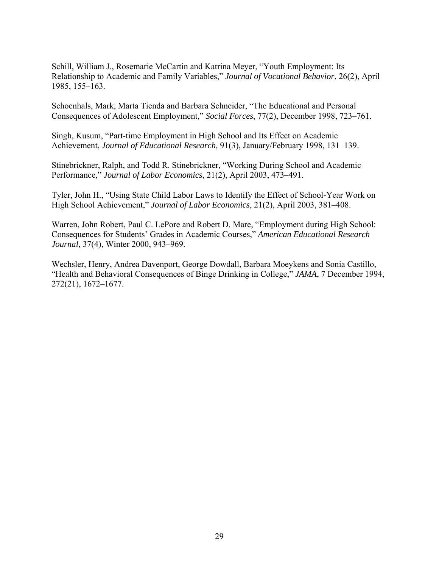Schill, William J., Rosemarie McCartin and Katrina Meyer, "Youth Employment: Its Relationship to Academic and Family Variables," *Journal of Vocational Behavior*, 26(2), April 1985, 155–163.

Schoenhals, Mark, Marta Tienda and Barbara Schneider, "The Educational and Personal Consequences of Adolescent Employment," *Social Forces*, 77(2), December 1998, 723–761.

Singh, Kusum, "Part-time Employment in High School and Its Effect on Academic Achievement, *Journal of Educational Research,* 91(3), January/February 1998, 131–139.

Stinebrickner, Ralph, and Todd R. Stinebrickner, "Working During School and Academic Performance," *Journal of Labor Economics*, 21(2), April 2003, 473–491.

Tyler, John H., "Using State Child Labor Laws to Identify the Effect of School-Year Work on High School Achievement," *Journal of Labor Economics*, 21(2), April 2003, 381–408.

Warren, John Robert, Paul C. LePore and Robert D. Mare, "Employment during High School: Consequences for Students' Grades in Academic Courses," *American Educational Research Journal*, 37(4), Winter 2000, 943–969.

Wechsler, Henry, Andrea Davenport, George Dowdall, Barbara Moeykens and Sonia Castillo, "Health and Behavioral Consequences of Binge Drinking in College," *JAMA*, 7 December 1994, 272(21), 1672–1677.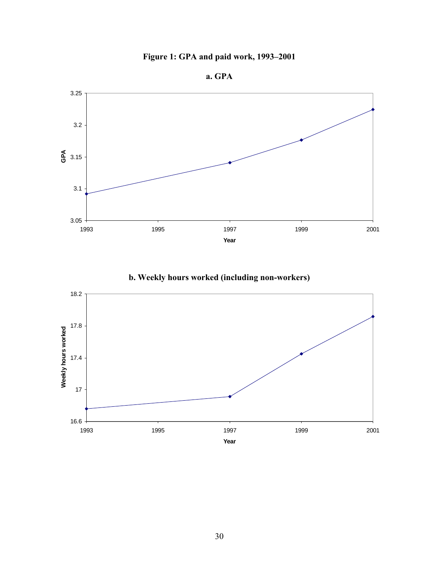

**a. GPA** 



**b. Weekly hours worked (including non-workers)** 

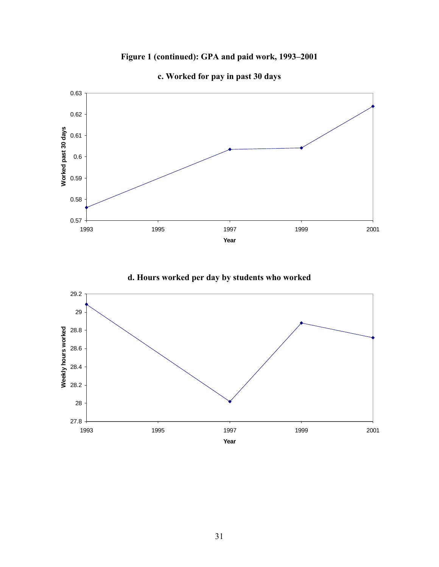## **Figure 1 (continued): GPA and paid work, 1993–2001**



**c. Worked for pay in past 30 days** 

**d. Hours worked per day by students who worked** 

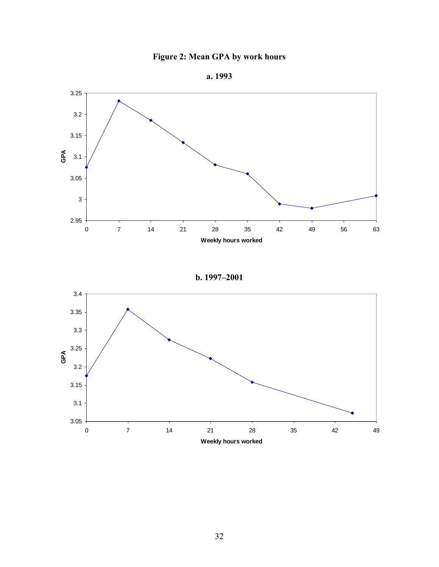

**a. 1993** 



**b. 1997–2001** 

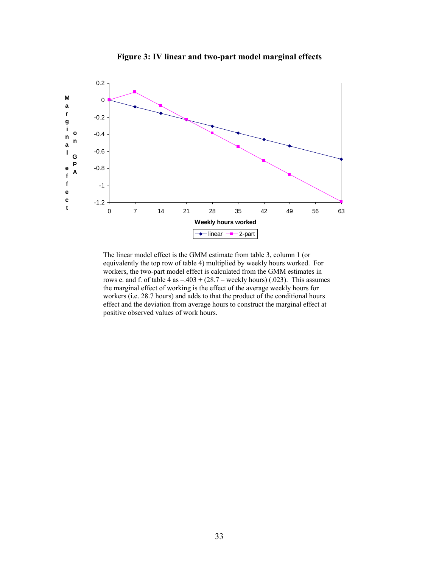

**Figure 3: IV linear and two-part model marginal effects**

The linear model effect is the GMM estimate from table 3, column 1 (or equivalently the top row of table 4) multiplied by weekly hours worked. For workers, the two-part model effect is calculated from the GMM estimates in rows e. and f. of table  $4$  as  $-.403 + (28.7 -$  weekly hours) (.023). This assumes the marginal effect of working is the effect of the average weekly hours for workers (i.e. 28.7 hours) and adds to that the product of the conditional hours effect and the deviation from average hours to construct the marginal effect at positive observed values of work hours.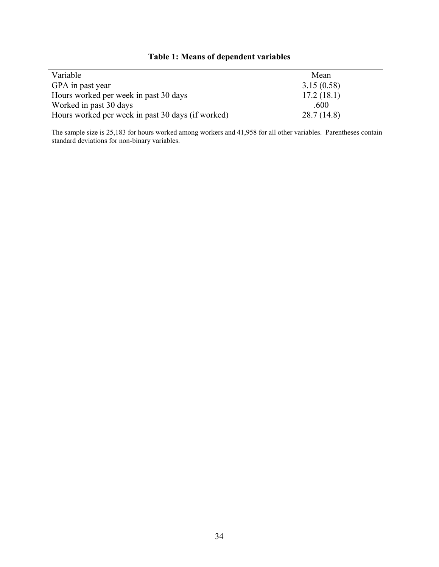| Variable                                          | Mean       |
|---------------------------------------------------|------------|
| GPA in past year                                  | 3.15(0.58) |
| Hours worked per week in past 30 days             | 17.2(18.1) |
| Worked in past 30 days                            | .600       |
| Hours worked per week in past 30 days (if worked) | 28.7(14.8) |

# **Table 1: Means of dependent variables**

The sample size is 25,183 for hours worked among workers and 41,958 for all other variables. Parentheses contain standard deviations for non-binary variables.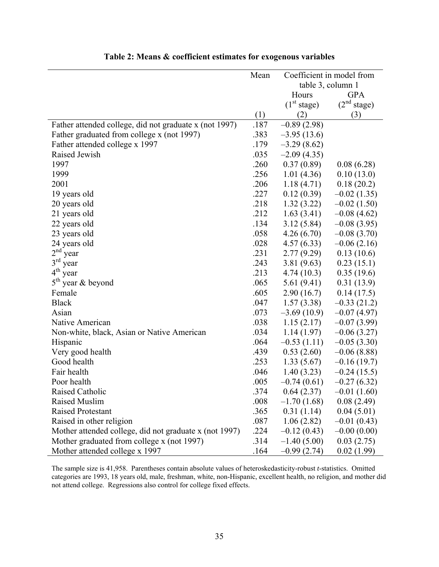|                                                        | Mean | Coefficient in model from |                         |  |
|--------------------------------------------------------|------|---------------------------|-------------------------|--|
|                                                        |      | table 3, column 1         |                         |  |
|                                                        |      | Hours                     | <b>GPA</b>              |  |
|                                                        |      | (1 <sup>st</sup> stage)   | (2 <sup>nd</sup> stage) |  |
|                                                        | (1)  | (2)                       | (3)                     |  |
| Father attended college, did not graduate x (not 1997) | .187 | $-0.89(2.98)$             |                         |  |
| Father graduated from college x (not 1997)             | .383 | $-3.95(13.6)$             |                         |  |
| Father attended college x 1997                         | .179 | $-3.29(8.62)$             |                         |  |
| Raised Jewish                                          | .035 | $-2.09(4.35)$             |                         |  |
| 1997                                                   | .260 | 0.37(0.89)                | 0.08(6.28)              |  |
| 1999                                                   | .256 | 1.01(4.36)                | 0.10(13.0)              |  |
| 2001                                                   | .206 | 1.18(4.71)                | 0.18(20.2)              |  |
| 19 years old                                           | .227 | 0.12(0.39)                | $-0.02(1.35)$           |  |
| 20 years old                                           | .218 | 1.32(3.22)                | $-0.02(1.50)$           |  |
| 21 years old                                           | .212 | 1.63(3.41)                | $-0.08(4.62)$           |  |
| 22 years old                                           | .134 | 3.12(5.84)                | $-0.08(3.95)$           |  |
| 23 years old                                           | .058 | 4.26(6.70)                | $-0.08(3.70)$           |  |
| 24 years old                                           | .028 | 4.57(6.33)                | $-0.06(2.16)$           |  |
| $2nd$ year                                             | .231 | 2.77(9.29)                | 0.13(10.6)              |  |
| $3^{\text{rd}}$<br>year                                | .243 | 3.81(9.63)                | 0.23(15.1)              |  |
| $4^{\text{th}}$<br>year                                | .213 | 4.74(10.3)                | 0.35(19.6)              |  |
| $5th$ year & beyond                                    | .065 | 5.61(9.41)                | 0.31(13.9)              |  |
| Female                                                 | .605 | 2.90(16.7)                | 0.14(17.5)              |  |
| <b>Black</b>                                           | .047 | 1.57(3.38)                | $-0.33(21.2)$           |  |
| Asian                                                  | .073 | $-3.69(10.9)$             | $-0.07(4.97)$           |  |
| Native American                                        | .038 | 1.15(2.17)                | $-0.07(3.99)$           |  |
| Non-white, black, Asian or Native American             | .034 | 1.14(1.97)                | $-0.06(3.27)$           |  |
| Hispanic                                               | .064 | $-0.53(1.11)$             | $-0.05(3.30)$           |  |
| Very good health                                       | .439 | 0.53(2.60)                | $-0.06(8.88)$           |  |
| Good health                                            | .253 | 1.33(5.67)                | $-0.16(19.7)$           |  |
| Fair health                                            | .046 | 1.40(3.23)                | $-0.24(15.5)$           |  |
| Poor health                                            | .005 | $-0.74(0.61)$             | $-0.27(6.32)$           |  |
| Raised Catholic                                        | .374 | 0.64(2.37)                | $-0.01(1.60)$           |  |
| <b>Raised Muslim</b>                                   | .008 | $-1.70(1.68)$             | 0.08(2.49)              |  |
| <b>Raised Protestant</b>                               | .365 | 0.31(1.14)                | 0.04(5.01)              |  |
| Raised in other religion                               | .087 | 1.06(2.82)                | $-0.01(0.43)$           |  |
| Mother attended college, did not graduate x (not 1997) | .224 | $-0.12(0.43)$             | $-0.00(0.00)$           |  |
| Mother graduated from college x (not 1997)             | .314 | $-1.40(5.00)$             | 0.03(2.75)              |  |
| Mother attended college x 1997                         | .164 | $-0.99(2.74)$             | 0.02(1.99)              |  |

## **Table 2: Means & coefficient estimates for exogenous variables**

The sample size is 41,958. Parentheses contain absolute values of heteroskedasticity-robust *t*-statistics. Omitted categories are 1993, 18 years old, male, freshman, white, non-Hispanic, excellent health, no religion, and mother did not attend college. Regressions also control for college fixed effects.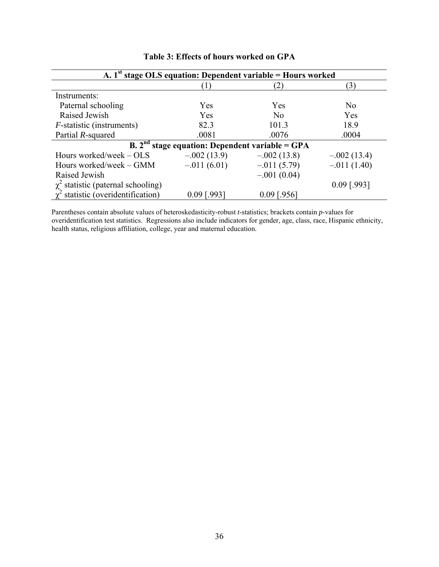| A. 1 <sup>st</sup> stage OLS equation: Dependent variable = Hours worked |                |                |                |  |  |  |  |  |
|--------------------------------------------------------------------------|----------------|----------------|----------------|--|--|--|--|--|
|                                                                          |                | $'2$ ,         | (3)            |  |  |  |  |  |
| Instruments:                                                             |                |                |                |  |  |  |  |  |
| Paternal schooling                                                       | Yes            | Yes            | N <sub>0</sub> |  |  |  |  |  |
| Raised Jewish                                                            | Yes            | No             | Yes            |  |  |  |  |  |
| <i>F</i> -statistic (instruments)                                        | 82.3           | 101.3          | 18.9           |  |  |  |  |  |
| Partial R-squared                                                        | .0081          | .0076          | .0004          |  |  |  |  |  |
| B. $2nd$ stage equation: Dependent variable = GPA                        |                |                |                |  |  |  |  |  |
| Hours worked/week $-$ OLS                                                | $-0.002(13.9)$ | $-0.002(13.8)$ | $-0.002(13.4)$ |  |  |  |  |  |
| Hours worked/week – GMM                                                  | $-.011(6.01)$  | $-0.011(5.79)$ | $-.011(1.40)$  |  |  |  |  |  |
| Raised Jewish                                                            |                | $-.001(0.04)$  |                |  |  |  |  |  |
| $\chi^2$ statistic (paternal schooling)                                  |                |                | $0.09$ [.993]  |  |  |  |  |  |
| $\chi^2$ statistic (overidentification)                                  | $0.09$ [.993]  | $0.09$ [.956]  |                |  |  |  |  |  |

# **Table 3: Effects of hours worked on GPA**

Parentheses contain absolute values of heteroskedasticity-robust *t*-statistics; brackets contain *p*-values for overidentification test statistics. Regressions also include indicators for gender, age, class, race, Hispanic ethnicity, health status, religious affiliation, college, year and maternal education.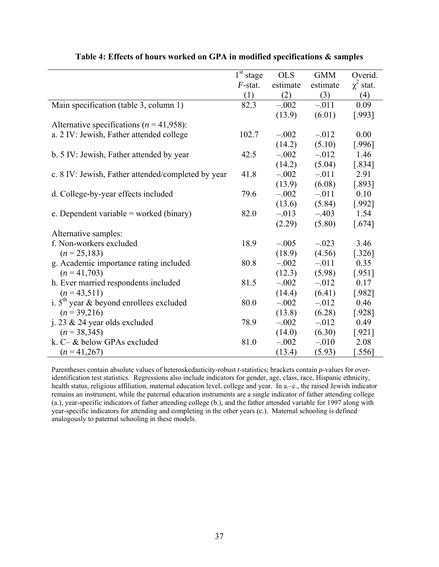|                                                    | $1st$ stage | <b>OLS</b> | <b>GMM</b> | Overid.        |
|----------------------------------------------------|-------------|------------|------------|----------------|
|                                                    | $F$ -stat.  | estimate   | estimate   | $\chi^2$ stat. |
|                                                    | (1)         | (2)        | (3)        | (4)            |
| Main specification (table 3, column 1)             | 82.3        | $-.002$    | $-.011$    | 0.09           |
|                                                    |             | (13.9)     | (6.01)     | [.993]         |
| Alternative specifications ( $n = 41,958$ ):       |             |            |            |                |
| a. 2 IV: Jewish, Father attended college           | 102.7       | $-.002$    | $-.012$    | 0.00           |
|                                                    |             | (14.2)     | (5.10)     | [.996]         |
| b. 5 IV: Jewish, Father attended by year           | 42.5        | $-.002$    | $-.012$    | 1.46           |
|                                                    |             | (14.2)     | (5.04)     | [.834]         |
| c. 8 IV: Jewish, Father attended/completed by year | 41.8        | $-.002$    | $-.011$    | 2.91           |
|                                                    |             | (13.9)     | (6.08)     | [.893]         |
| d. College-by-year effects included                | 79.6        | $-.002$    | $-.011$    | 0.10           |
|                                                    |             | (13.6)     | (5.84)     | $[.992]$       |
| e. Dependent variable = worked (binary)            | 82.0        | $-.013$    | $-.403$    | 1.54           |
|                                                    |             | (2.29)     | (5.80)     | $[.674]$       |
| Alternative samples:                               |             |            |            |                |
| f. Non-workers excluded                            | 18.9        | $-.005$    | $-.023$    | 3.46           |
| $(n = 25,183)$                                     |             | (18.9)     | (4.56)     | $[.326]$       |
| g. Academic importance rating included             | 80.8        | $-.002$    | $-.011$    | 0.35           |
| $(n=41,703)$                                       |             | (12.3)     | (5.98)     | [.951]         |
| h. Ever married respondents included               | 81.5        | $-.002$    | $-.012$    | 0.17           |
| $(n = 43, 511)$                                    |             | (14.4)     | (6.41)     | $[.982]$       |
| i. $5th$ year & beyond enrollees excluded          | 80.0        | $-.002$    | $-.012$    | 0.46           |
| $(n=39,216)$                                       |             | (13.8)     | (6.28)     | $[.928]$       |
| j. 23 $&$ 24 year olds excluded                    | 78.9        | $-.002$    | $-.012$    | 0.49           |
| $(n=38,345)$                                       |             | (14.0)     | (6.30)     | [.921]         |
| k. C- & below GPAs excluded                        | 81.0        | $-.002$    | $-.010$    | 2.08           |
| $(n=41,267)$                                       |             | (13.4)     | (5.93)     | 556            |

### **Table 4: Effects of hours worked on GPA in modified specifications & samples**

Parentheses contain absolute values of heteroskedasticity-robust *t*-statistics; brackets contain *p*-values for overidentification test statistics. Regressions also include indicators for gender, age, class, race, Hispanic ethnicity, health status, religious affiliation, maternal education level, college and year. In a.-c., the raised Jewish indicator remains an instrument, while the paternal education instruments are a single indicator of father attending college (a.), year-specific indicators of father attending college (b.), and the father attended variable for 1997 along with year-specific indicators for attending and completing in the other years (c.). Maternal schooling is defined analogously to paternal schooling in these models.